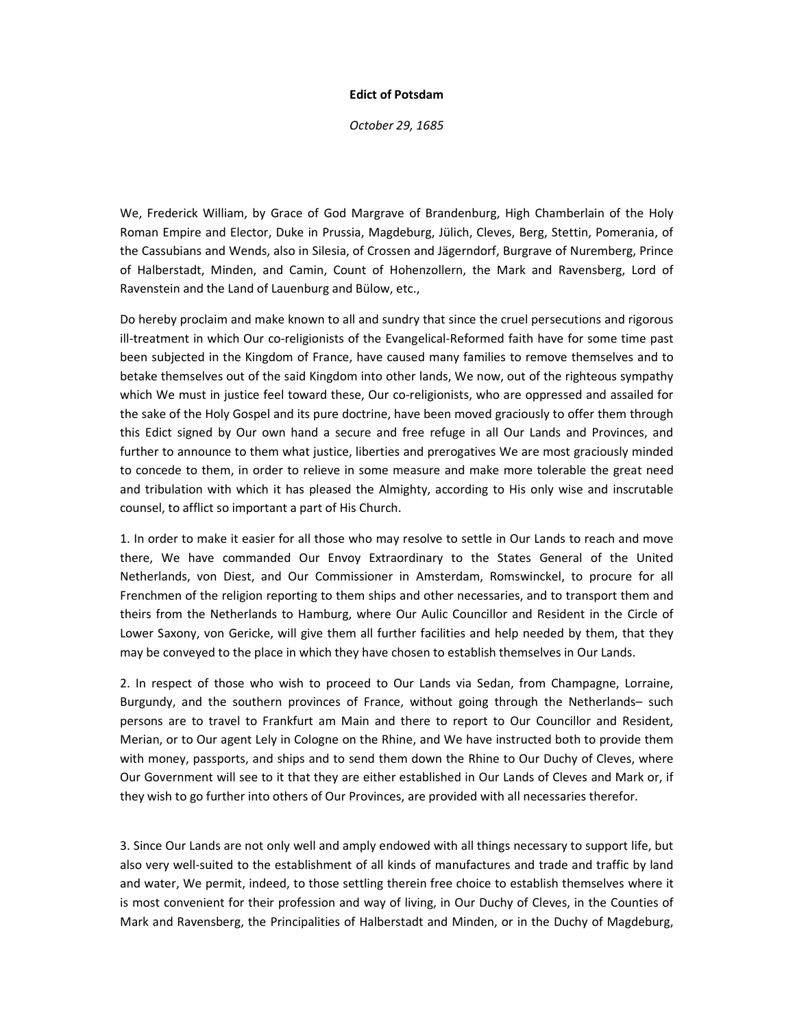## **Edict of Potsdam**

*October 29, 1685*

We, Frederick William, by Grace of God Margrave of Brandenburg, High Chamberlain of the Holy Roman Empire and Elector, Duke in Prussia, Magdeburg, Jülich, Cleves, Berg, Stettin, Pomerania, of the Cassubians and Wends, also in Silesia, of Crossen and Jägerndorf, Burgrave of Nuremberg, Prince of Halberstadt, Minden, and Camin, Count of Hohenzollern, the Mark and Ravensberg, Lord of Ravenstein and the Land of Lauenburg and Bülow, etc.,

Do hereby proclaim and make known to all and sundry that since the cruel persecutions and rigorous ill-treatment in which Our co-religionists of the Evangelical-Reformed faith have for some time past been subjected in the Kingdom of France, have caused many families to remove themselves and to betake themselves out of the said Kingdom into other lands, We now, out of the righteous sympathy which We must in justice feel toward these, Our co-religionists, who are oppressed and assailed for the sake of the Holy Gospel and its pure doctrine, have been moved graciously to offer them through this Edict signed by Our own hand a secure and free refuge in all Our Lands and Provinces, and further to announce to them what justice, liberties and prerogatives We are most graciously minded to concede to them, in order to relieve in some measure and make more tolerable the great need and tribulation with which it has pleased the Almighty, according to His only wise and inscrutable counsel, to afflict so important a part of His Church.

1. In order to make it easier for all those who may resolve to settle in Our Lands to reach and move there, We have commanded Our Envoy Extraordinary to the States General of the United Netherlands, von Diest, and Our Commissioner in Amsterdam, Romswinckel, to procure for all Frenchmen of the religion reporting to them ships and other necessaries, and to transport them and theirs from the Netherlands to Hamburg, where Our Aulic Councillor and Resident in the Circle of Lower Saxony, von Gericke, will give them all further facilities and help needed by them, that they may be conveyed to the place in which they have chosen to establish themselves in Our Lands.

2. In respect of those who wish to proceed to Our Lands via Sedan, from Champagne, Lorraine, Burgundy, and the southern provinces of France, without going through the Netherlands– such persons are to travel to Frankfurt am Main and there to report to Our Councillor and Resident, Merian, or to Our agent Lely in Cologne on the Rhine, and We have instructed both to provide them with money, passports, and ships and to send them down the Rhine to Our Duchy of Cleves, where Our Government will see to it that they are either established in Our Lands of Cleves and Mark or, if they wish to go further into others of Our Provinces, are provided with all necessaries therefor.

3. Since Our Lands are not only well and amply endowed with all things necessary to support life, but also very well-suited to the establishment of all kinds of manufactures and trade and traffic by land and water, We permit, indeed, to those settling therein free choice to establish themselves where it is most convenient for their profession and way of living, in Our Duchy of Cleves, in the Counties of Mark and Ravensberg, the Principalities of Halberstadt and Minden, or in the Duchy of Magdeburg,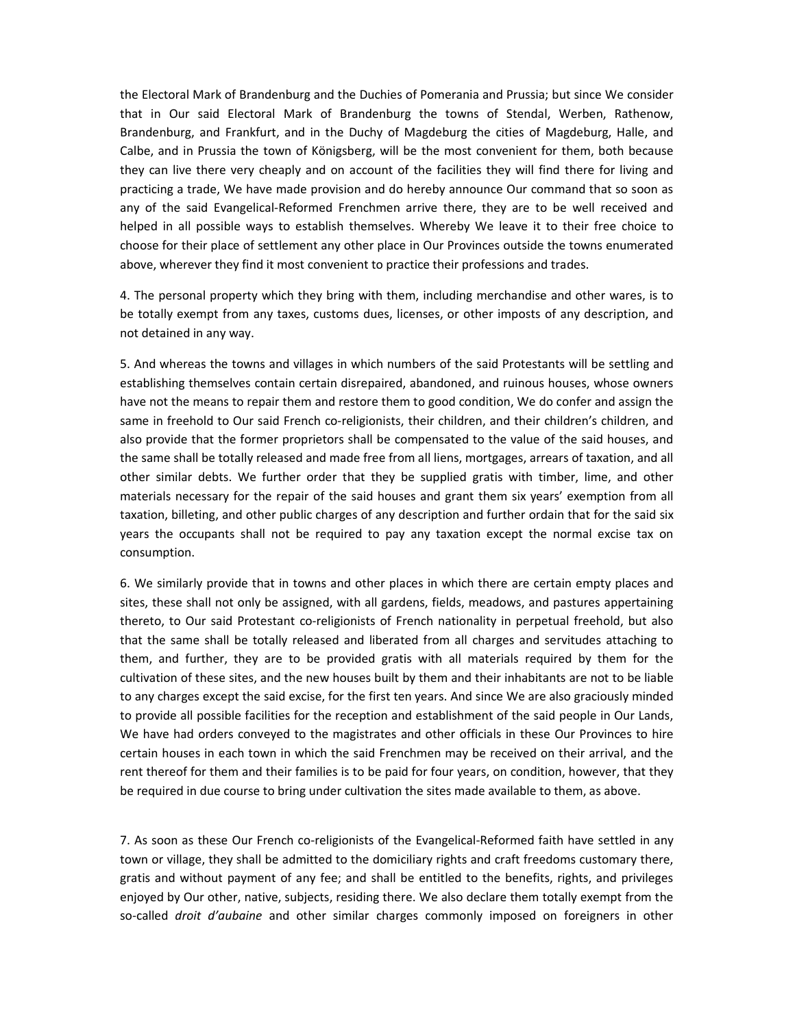the Electoral Mark of Brandenburg and the Duchies of Pomerania and Prussia; but since We consider that in Our said Electoral Mark of Brandenburg the towns of Stendal, Werben, Rathenow, Brandenburg, and Frankfurt, and in the Duchy of Magdeburg the cities of Magdeburg, Halle, and Calbe, and in Prussia the town of Königsberg, will be the most convenient for them, both because they can live there very cheaply and on account of the facilities they will find there for living and practicing a trade, We have made provision and do hereby announce Our command that so soon as any of the said Evangelical-Reformed Frenchmen arrive there, they are to be well received and helped in all possible ways to establish themselves. Whereby We leave it to their free choice to choose for their place of settlement any other place in Our Provinces outside the towns enumerated above, wherever they find it most convenient to practice their professions and trades.

4. The personal property which they bring with them, including merchandise and other wares, is to be totally exempt from any taxes, customs dues, licenses, or other imposts of any description, and not detained in any way.

5. And whereas the towns and villages in which numbers of the said Protestants will be settling and establishing themselves contain certain disrepaired, abandoned, and ruinous houses, whose owners have not the means to repair them and restore them to good condition, We do confer and assign the same in freehold to Our said French co-religionists, their children, and their children's children, and also provide that the former proprietors shall be compensated to the value of the said houses, and the same shall be totally released and made free from all liens, mortgages, arrears of taxation, and all other similar debts. We further order that they be supplied gratis with timber, lime, and other materials necessary for the repair of the said houses and grant them six years' exemption from all taxation, billeting, and other public charges of any description and further ordain that for the said six years the occupants shall not be required to pay any taxation except the normal excise tax on consumption.

6. We similarly provide that in towns and other places in which there are certain empty places and sites, these shall not only be assigned, with all gardens, fields, meadows, and pastures appertaining thereto, to Our said Protestant co-religionists of French nationality in perpetual freehold, but also that the same shall be totally released and liberated from all charges and servitudes attaching to them, and further, they are to be provided gratis with all materials required by them for the cultivation of these sites, and the new houses built by them and their inhabitants are not to be liable to any charges except the said excise, for the first ten years. And since We are also graciously minded to provide all possible facilities for the reception and establishment of the said people in Our Lands, We have had orders conveyed to the magistrates and other officials in these Our Provinces to hire certain houses in each town in which the said Frenchmen may be received on their arrival, and the rent thereof for them and their families is to be paid for four years, on condition, however, that they be required in due course to bring under cultivation the sites made available to them, as above.

7. As soon as these Our French co-religionists of the Evangelical-Reformed faith have settled in any town or village, they shall be admitted to the domiciliary rights and craft freedoms customary there, gratis and without payment of any fee; and shall be entitled to the benefits, rights, and privileges enjoyed by Our other, native, subjects, residing there. We also declare them totally exempt from the so-called *droit d'aubaine* and other similar charges commonly imposed on foreigners in other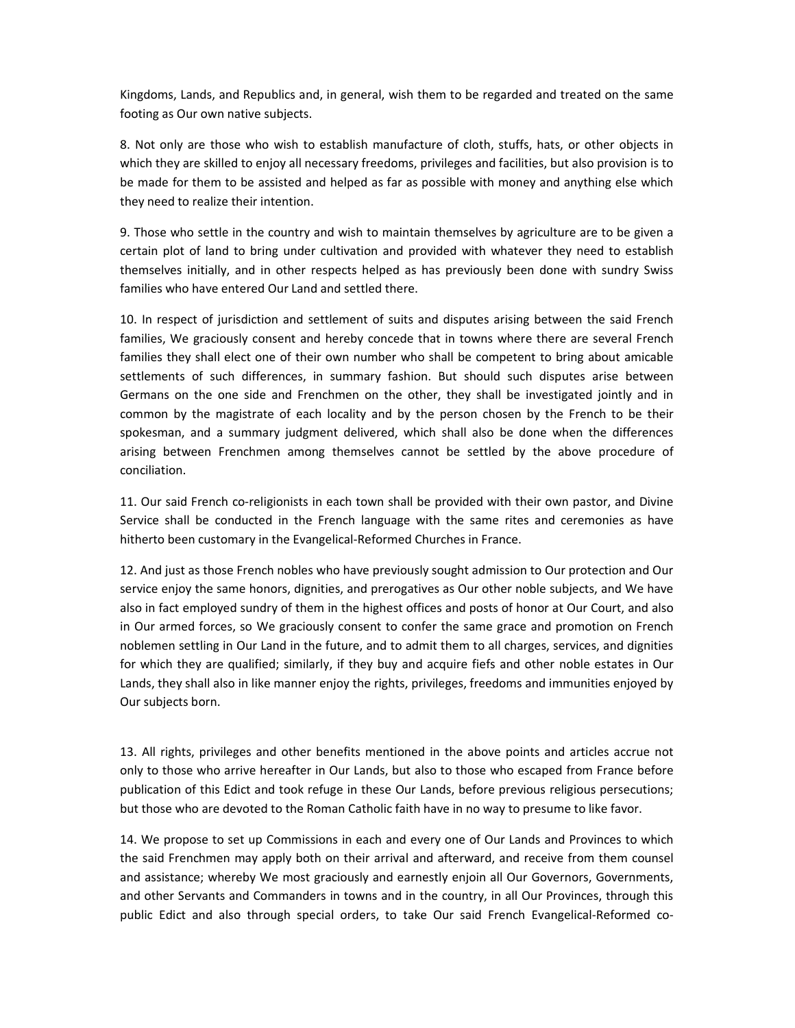Kingdoms, Lands, and Republics and, in general, wish them to be regarded and treated on the same footing as Our own native subjects.

8. Not only are those who wish to establish manufacture of cloth, stuffs, hats, or other objects in which they are skilled to enjoy all necessary freedoms, privileges and facilities, but also provision is to be made for them to be assisted and helped as far as possible with money and anything else which they need to realize their intention.

9. Those who settle in the country and wish to maintain themselves by agriculture are to be given a certain plot of land to bring under cultivation and provided with whatever they need to establish themselves initially, and in other respects helped as has previously been done with sundry Swiss families who have entered Our Land and settled there.

10. In respect of jurisdiction and settlement of suits and disputes arising between the said French families, We graciously consent and hereby concede that in towns where there are several French families they shall elect one of their own number who shall be competent to bring about amicable settlements of such differences, in summary fashion. But should such disputes arise between Germans on the one side and Frenchmen on the other, they shall be investigated jointly and in common by the magistrate of each locality and by the person chosen by the French to be their spokesman, and a summary judgment delivered, which shall also be done when the differences arising between Frenchmen among themselves cannot be settled by the above procedure of conciliation.

11. Our said French co-religionists in each town shall be provided with their own pastor, and Divine Service shall be conducted in the French language with the same rites and ceremonies as have hitherto been customary in the Evangelical-Reformed Churches in France.

12. And just as those French nobles who have previously sought admission to Our protection and Our service enjoy the same honors, dignities, and prerogatives as Our other noble subjects, and We have also in fact employed sundry of them in the highest offices and posts of honor at Our Court, and also in Our armed forces, so We graciously consent to confer the same grace and promotion on French noblemen settling in Our Land in the future, and to admit them to all charges, services, and dignities for which they are qualified; similarly, if they buy and acquire fiefs and other noble estates in Our Lands, they shall also in like manner enjoy the rights, privileges, freedoms and immunities enjoyed by Our subjects born.

13. All rights, privileges and other benefits mentioned in the above points and articles accrue not only to those who arrive hereafter in Our Lands, but also to those who escaped from France before publication of this Edict and took refuge in these Our Lands, before previous religious persecutions; but those who are devoted to the Roman Catholic faith have in no way to presume to like favor.

14. We propose to set up Commissions in each and every one of Our Lands and Provinces to which the said Frenchmen may apply both on their arrival and afterward, and receive from them counsel and assistance; whereby We most graciously and earnestly enjoin all Our Governors, Governments, and other Servants and Commanders in towns and in the country, in all Our Provinces, through this public Edict and also through special orders, to take Our said French Evangelical-Reformed co